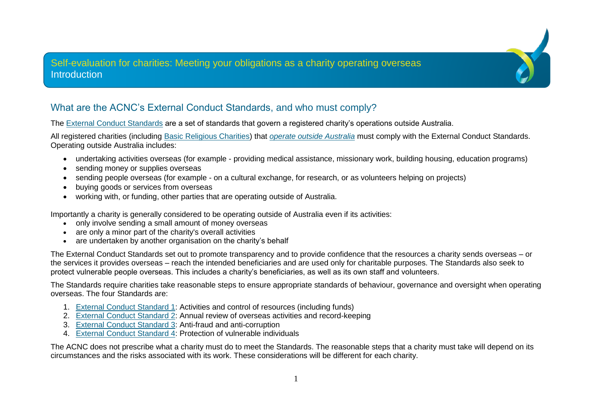## Self-evaluation for charities: Meeting your obligations as a charity operating overseas **Introduction**

## What are the ACNC's External Conduct Standards, and who must comply?

The [External Conduct Standards](https://www.acnc.gov.au/ecs) are a set of standards that govern a registered charity's operations outside Australia.

All registered charities (including [Basic Religious Charities\)](https://www.acnc.gov.au/tools/topic-guides/basic-religious-charities) that *[operate outside Australia](https://www.acnc.gov.au/for-charities/manage-your-charity/governance-hub/acnc-external-conduct-standards/when-do-external)* must comply with the External Conduct Standards. Operating outside Australia includes:

- undertaking activities overseas (for example providing medical assistance, missionary work, building housing, education programs)
- sending money or supplies overseas
- sending people overseas (for example on a cultural exchange, for research, or as volunteers helping on projects)
- buying goods or services from overseas
- working with, or funding, other parties that are operating outside of Australia.

Importantly a charity is generally considered to be operating outside of Australia even if its activities:

- only involve sending a small amount of money overseas
- are only a minor part of the charity's overall activities
- are undertaken by another organisation on the charity's behalf

The External Conduct Standards set out to promote transparency and to provide confidence that the resources a charity sends overseas – or the services it provides overseas – reach the intended beneficiaries and are used only for charitable purposes. The Standards also seek to protect vulnerable people overseas. This includes a charity's beneficiaries, as well as its own staff and volunteers.

The Standards require charities take reasonable steps to ensure appropriate standards of behaviour, governance and oversight when operating overseas. The four Standards are:

- 1. [External Conduct Standard 1:](https://www.acnc.gov.au/for-charities/manage-your-charity/governance-hub/acnc-external-conduct-standards/external-conduct) Activities and control of resources (including funds)
- 2. [External Conduct Standard 2:](https://www.acnc.gov.au/for-charities/manage-your-charity/governance-hub/acnc-external-conduct-standards/external-conduct-0) Annual review of overseas activities and record-keeping
- 3. [External Conduct Standard 3:](https://www.acnc.gov.au/for-charities/manage-your-charity/governance-hub/acnc-external-conduct-standards/external-conduct-1) Anti-fraud and anti-corruption
- 4. [External Conduct Standard 4:](https://www.acnc.gov.au/for-charities/manage-your-charity/governance-hub/acnc-external-conduct-standards/external-conduct-2) Protection of vulnerable individuals

The ACNC does not prescribe what a charity must do to meet the Standards. The reasonable steps that a charity must take will depend on its circumstances and the risks associated with its work. These considerations will be different for each charity.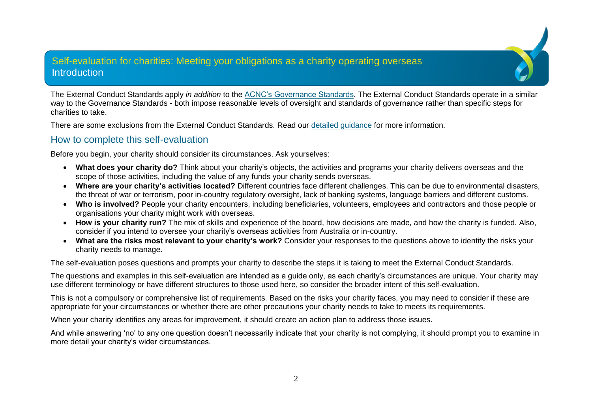#### Self-evaluation for charities: Meeting your obligations as a charity operating overseas **Introduction**

The External Conduct Standards apply *in addition* to the [ACNC's Governance Standards.](https://www.acnc.gov.au/for-charities/manage-your-charity/governance-hub/governance-standards/5-duties-responsible-persons) The External Conduct Standards operate in a similar way to the Governance Standards - both impose reasonable levels of oversight and standards of governance rather than specific steps for charities to take.

There are some exclusions from the External Conduct Standards. Read our [detailed guidance](https://www.acnc.gov.au/for-charities/manage-your-charity/governance-hub/acnc-external-conduct-standards/when-do-external) for more information.

#### How to complete this self-evaluation

Before you begin, your charity should consider its circumstances. Ask yourselves:

- **What does your charity do?** Think about your charity's objects, the activities and programs your charity delivers overseas and the scope of those activities, including the value of any funds your charity sends overseas.
- **Where are your charity's activities located?** Different countries face different challenges. This can be due to environmental disasters, the threat of war or terrorism, poor in-country regulatory oversight, lack of banking systems, language barriers and different customs.
- **Who is involved?** People your charity encounters, including beneficiaries, volunteers, employees and contractors and those people or organisations your charity might work with overseas.
- **How is your charity run?** The mix of skills and experience of the board, how decisions are made, and how the charity is funded. Also, consider if you intend to oversee your charity's overseas activities from Australia or in-country.
- **What are the risks most relevant to your charity's work?** Consider your responses to the questions above to identify the risks your charity needs to manage.

The self-evaluation poses questions and prompts your charity to describe the steps it is taking to meet the External Conduct Standards.

The questions and examples in this self-evaluation are intended as a guide only, as each charity's circumstances are unique. Your charity may use different terminology or have different structures to those used here, so consider the broader intent of this self-evaluation.

This is not a compulsory or comprehensive list of requirements. Based on the risks your charity faces, you may need to consider if these are appropriate for your circumstances or whether there are other precautions your charity needs to take to meets its requirements.

When your charity identifies any areas for improvement, it should create an action plan to address those issues.

And while answering 'no' to any one question doesn't necessarily indicate that your charity is not complying, it should prompt you to examine in more detail your charity's wider circumstances.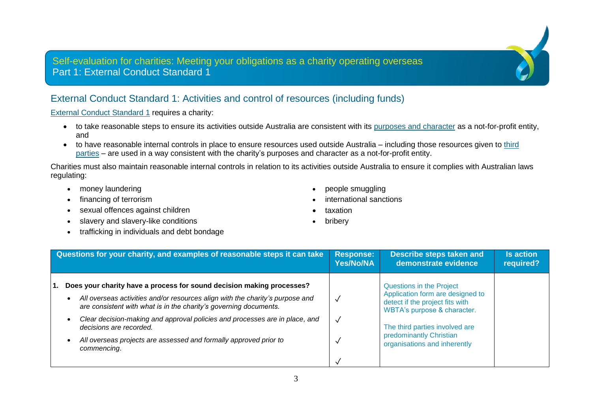## Self-evaluation for charities: Meeting your obligations as a charity operating overseas Part 1: External Conduct Standard 1

## External Conduct Standard 1: Activities and control of resources (including funds)

[External Conduct Standard 1](https://www.acnc.gov.au/for-charities/manage-your-charity/governance-hub/acnc-external-conduct-standards/external-conduct-2) requires a charity:

- to take reasonable steps to ensure its activities outside Australia are consistent with its purposes [and character](https://www.acnc.gov.au/tools/topic-guides/charitable-purpose) as a not-for-profit entity, and
- to have reasonable internal controls in place to ensure resources used outside Australia including those resources given to [third](https://www.acnc.gov.au/for-charities/manage-your-charity/governance-hub/acnc-external-conduct-standards/when-do-external) [parties](https://www.acnc.gov.au/for-charities/manage-your-charity/governance-hub/acnc-external-conduct-standards/when-do-external) – are used in a way consistent with the charity's purposes and character as a not-for-profit entity.

Charities must also maintain reasonable internal controls in relation to its activities outside Australia to ensure it complies with Australian laws regulating:

- money laundering **•** people smuggling
- 
- sexual offences against children taxation taxation
- slavery and slavery-like conditions bribery
- trafficking in individuals and debt bondage
- 
- financing of terrorism  $\bullet$  international sanctions
	-
	-

| Questions for your charity, and examples of reasonable steps it can take                                                                                                                                                                                                                                                                                                                                                  | <b>Response:</b>                  | Describe steps taken and                                                                                                                                                                                                    | <b>Is action</b> |
|---------------------------------------------------------------------------------------------------------------------------------------------------------------------------------------------------------------------------------------------------------------------------------------------------------------------------------------------------------------------------------------------------------------------------|-----------------------------------|-----------------------------------------------------------------------------------------------------------------------------------------------------------------------------------------------------------------------------|------------------|
|                                                                                                                                                                                                                                                                                                                                                                                                                           | <b>Yes/No/NA</b>                  | demonstrate evidence                                                                                                                                                                                                        | required?        |
| Does your charity have a process for sound decision making processes?<br>All overseas activities and/or resources align with the charity's purpose and<br>are consistent with what is in the charity's governing documents.<br>Clear decision-making and approval policies and processes are in place, and<br>decisions are recorded.<br>All overseas projects are assessed and formally approved prior to<br>commencing. | $\checkmark$<br>$\checkmark$<br>√ | Questions in the Project<br>Application form are designed to<br>detect if the project fits with<br>WBTA's purpose & character.<br>The third parties involved are<br>predominantly Christian<br>organisations and inherently |                  |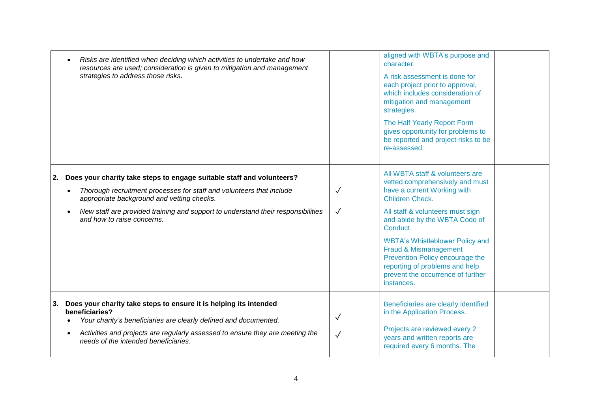|    | Risks are identified when deciding which activities to undertake and how<br>resources are used; consideration is given to mitigation and management<br>strategies to address those risks.                                                                                                                     |                              | aligned with WBTA's purpose and<br>character.<br>A risk assessment is done for<br>each project prior to approval,<br>which includes consideration of<br>mitigation and management<br>strategies.<br>The Half Yearly Report Form<br>gives opportunity for problems to<br>be reported and project risks to be<br>re-assessed.                                                                      |  |
|----|---------------------------------------------------------------------------------------------------------------------------------------------------------------------------------------------------------------------------------------------------------------------------------------------------------------|------------------------------|--------------------------------------------------------------------------------------------------------------------------------------------------------------------------------------------------------------------------------------------------------------------------------------------------------------------------------------------------------------------------------------------------|--|
| 2. | Does your charity take steps to engage suitable staff and volunteers?<br>Thorough recruitment processes for staff and volunteers that include<br>appropriate background and vetting checks.<br>New staff are provided training and support to understand their responsibilities<br>and how to raise concerns. | ✓<br>$\checkmark$            | All WBTA staff & volunteers are<br>vetted comprehensively and must<br>have a current Working with<br>Children Check.<br>All staff & volunteers must sign<br>and abide by the WBTA Code of<br>Conduct.<br><b>WBTA's Whistleblower Policy and</b><br>Fraud & Mismanagement<br>Prevention Policy encourage the<br>reporting of problems and help<br>prevent the occurrence of further<br>instances. |  |
|    | 3. Does your charity take steps to ensure it is helping its intended<br>beneficiaries?<br>Your charity's beneficiaries are clearly defined and documented.<br>Activities and projects are regularly assessed to ensure they are meeting the<br>needs of the intended beneficiaries.                           | $\checkmark$<br>$\checkmark$ | Beneficiaries are clearly identified<br>in the Application Process.<br>Projects are reviewed every 2<br>years and written reports are<br>required every 6 months. The                                                                                                                                                                                                                            |  |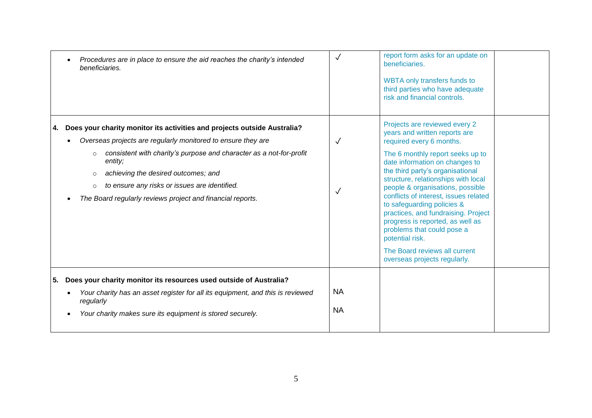| Procedures are in place to ensure the aid reaches the charity's intended<br>beneficiaries.                                                                                                                                                                                                                                                                                                                           | $\checkmark$                 | report form asks for an update on<br>beneficiaries.<br><b>WBTA only transfers funds to</b><br>third parties who have adequate<br>risk and financial controls.                                                                                                                                                                                                                                                                                                                                                                                       |  |
|----------------------------------------------------------------------------------------------------------------------------------------------------------------------------------------------------------------------------------------------------------------------------------------------------------------------------------------------------------------------------------------------------------------------|------------------------------|-----------------------------------------------------------------------------------------------------------------------------------------------------------------------------------------------------------------------------------------------------------------------------------------------------------------------------------------------------------------------------------------------------------------------------------------------------------------------------------------------------------------------------------------------------|--|
| 4. Does your charity monitor its activities and projects outside Australia?<br>Overseas projects are regularly monitored to ensure they are<br>consistent with charity's purpose and character as a not-for-profit<br>$\circ$<br>entity;<br>achieving the desired outcomes; and<br>$\circ$<br>to ensure any risks or issues are identified.<br>$\circ$<br>The Board regularly reviews project and financial reports. | $\checkmark$<br>$\checkmark$ | Projects are reviewed every 2<br>years and written reports are<br>required every 6 months.<br>The 6 monthly report seeks up to<br>date information on changes to<br>the third party's organisational<br>structure, relationships with local<br>people & organisations, possible<br>conflicts of interest, issues related<br>to safeguarding policies &<br>practices, and fundraising. Project<br>progress is reported, as well as<br>problems that could pose a<br>potential risk.<br>The Board reviews all current<br>overseas projects regularly. |  |
| 5. Does your charity monitor its resources used outside of Australia?<br>Your charity has an asset register for all its equipment, and this is reviewed<br>regularly<br>Your charity makes sure its equipment is stored securely.                                                                                                                                                                                    | <b>NA</b><br><b>NA</b>       |                                                                                                                                                                                                                                                                                                                                                                                                                                                                                                                                                     |  |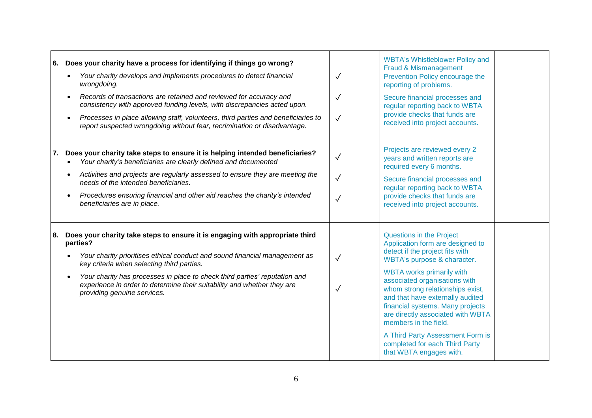|    | 6. Does your charity have a process for identifying if things go wrong?<br>Your charity develops and implements procedures to detect financial<br>$\bullet$<br>wrongdoing.<br>Records of transactions are retained and reviewed for accuracy and<br>$\bullet$<br>consistency with approved funding levels, with discrepancies acted upon.<br>Processes in place allowing staff, volunteers, third parties and beneficiaries to<br>report suspected wrongdoing without fear, recrimination or disadvantage. | $\checkmark$<br>$\checkmark$<br>$\checkmark$ | <b>WBTA's Whistleblower Policy and</b><br>Fraud & Mismanagement<br>Prevention Policy encourage the<br>reporting of problems.<br>Secure financial processes and<br>regular reporting back to WBTA<br>provide checks that funds are<br>received into project accounts.                                                                                                                                                                                                                  |
|----|------------------------------------------------------------------------------------------------------------------------------------------------------------------------------------------------------------------------------------------------------------------------------------------------------------------------------------------------------------------------------------------------------------------------------------------------------------------------------------------------------------|----------------------------------------------|---------------------------------------------------------------------------------------------------------------------------------------------------------------------------------------------------------------------------------------------------------------------------------------------------------------------------------------------------------------------------------------------------------------------------------------------------------------------------------------|
| 7. | Does your charity take steps to ensure it is helping intended beneficiaries?<br>Your charity's beneficiaries are clearly defined and documented<br>$\bullet$<br>Activities and projects are regularly assessed to ensure they are meeting the<br>needs of the intended beneficiaries.<br>Procedures ensuring financial and other aid reaches the charity's intended<br>$\bullet$<br>beneficiaries are in place.                                                                                            | $\checkmark$<br>$\checkmark$<br>$\checkmark$ | Projects are reviewed every 2<br>years and written reports are<br>required every 6 months.<br>Secure financial processes and<br>regular reporting back to WBTA<br>provide checks that funds are<br>received into project accounts.                                                                                                                                                                                                                                                    |
| 8. | Does your charity take steps to ensure it is engaging with appropriate third<br>parties?<br>Your charity prioritises ethical conduct and sound financial management as<br>$\bullet$<br>key criteria when selecting third parties.<br>Your charity has processes in place to check third parties' reputation and<br>experience in order to determine their suitability and whether they are<br>providing genuine services.                                                                                  | $\checkmark$<br>$\checkmark$                 | <b>Questions in the Project</b><br>Application form are designed to<br>detect if the project fits with<br>WBTA's purpose & character.<br><b>WBTA works primarily with</b><br>associated organisations with<br>whom strong relationships exist,<br>and that have externally audited<br>financial systems. Many projects<br>are directly associated with WBTA<br>members in the field.<br>A Third Party Assessment Form is<br>completed for each Third Party<br>that WBTA engages with. |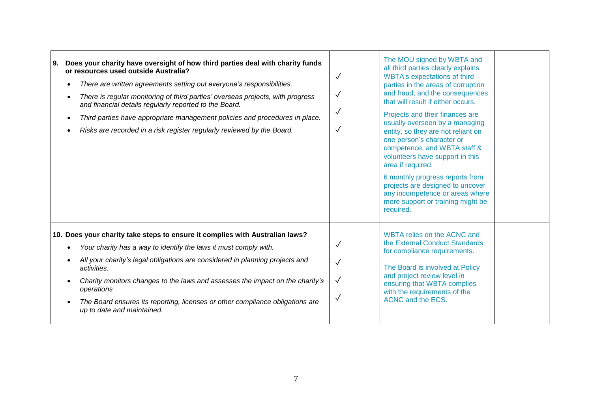| Does your charity have oversight of how third parties deal with charity funds<br>l 9.<br>or resources used outside Australia?<br>There are written agreements setting out everyone's responsibilities.<br>$\bullet$<br>There is regular monitoring of third parties' overseas projects, with progress<br>$\bullet$<br>and financial details regularly reported to the Board.<br>Third parties have appropriate management policies and procedures in place.<br>Risks are recorded in a risk register regularly reviewed by the Board. | $\checkmark$<br>$\checkmark$<br>$\checkmark$ | The MOU signed by WBTA and<br>all third parties clearly explains<br><b>WBTA's expectations of third</b><br>parties in the areas of corruption<br>and fraud, and the consequences<br>that will result if either occurs.<br>Projects and their finances are<br>usually overseen by a managing<br>entity, so they are not reliant on<br>one person's character or<br>competence, and WBTA staff &<br>volunteers have support in this<br>area if required.<br>6 monthly progress reports from<br>projects are designed to uncover<br>any incompetence or areas where<br>more support or training might be<br>required. |  |
|---------------------------------------------------------------------------------------------------------------------------------------------------------------------------------------------------------------------------------------------------------------------------------------------------------------------------------------------------------------------------------------------------------------------------------------------------------------------------------------------------------------------------------------|----------------------------------------------|--------------------------------------------------------------------------------------------------------------------------------------------------------------------------------------------------------------------------------------------------------------------------------------------------------------------------------------------------------------------------------------------------------------------------------------------------------------------------------------------------------------------------------------------------------------------------------------------------------------------|--|
| 10. Does your charity take steps to ensure it complies with Australian laws?<br>Your charity has a way to identify the laws it must comply with.<br>All your charity's legal obligations are considered in planning projects and<br>activities.<br>Charity monitors changes to the laws and assesses the impact on the charity's<br>operations<br>The Board ensures its reporting, licenses or other compliance obligations are<br>up to date and maintained.                                                                         | $\checkmark$<br>$\checkmark$<br>✓<br>√       | WBTA relies on the ACNC and<br>the External Conduct Standards<br>for compliance requirements.<br>The Board is involved at Policy<br>and project review level in<br>ensuring that WBTA complies<br>with the requirements of the<br><b>ACNC and the ECS.</b>                                                                                                                                                                                                                                                                                                                                                         |  |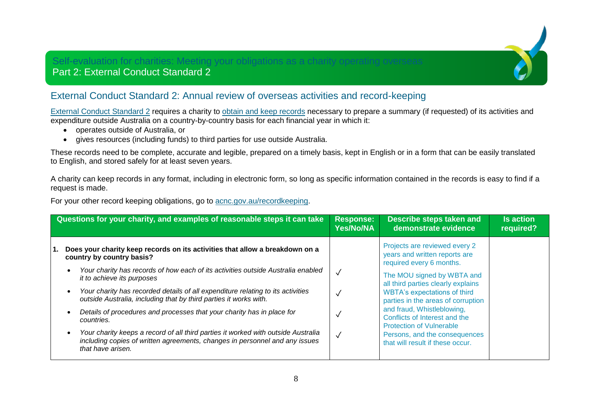# Self-evaluation for charities: Meeting your obligations as a charity operating overseas

## Part 2: External Conduct Standard 2

## External Conduct Standard 2: Annual review of overseas activities and record-keeping

[External Conduct Standard 2](https://www.acnc.gov.au/for-charities/manage-your-charity/governance-hub/acnc-external-conduct-standards/external-conduct-0) requires a charity to [obtain and keep records](https://www.acnc.gov.au/for-charities/manage-your-charity/obligations-acnc/keep-charity-records) necessary to prepare a summary (if requested) of its activities and expenditure outside Australia on a country-by-country basis for each financial year in which it:

- operates outside of Australia, or
- gives resources (including funds) to third parties for use outside Australia.

These records need to be complete, accurate and legible, prepared on a timely basis, kept in English or in a form that can be easily translated to English, and stored safely for at least seven years.

A charity can keep records in any format, including in electronic form, so long as specific information contained in the records is easy to find if a request is made.

For your other record keeping obligations, go to [acnc.gov.au/recordkeeping.](https://www.acnc.gov.au/recordkeeping)

| Questions for your charity, and examples of reasonable steps it can take<br><b>Response:</b><br><b>Yes/No/NA</b>                                                                                                                                                                                                                                                                                                                                                                                                                                                                                                                                                     |              | <b>Describe steps taken and</b><br>demonstrate evidence                                                                                                                                                                                                                                                                                                                                                            | <b>Is action</b><br>required? |
|----------------------------------------------------------------------------------------------------------------------------------------------------------------------------------------------------------------------------------------------------------------------------------------------------------------------------------------------------------------------------------------------------------------------------------------------------------------------------------------------------------------------------------------------------------------------------------------------------------------------------------------------------------------------|--------------|--------------------------------------------------------------------------------------------------------------------------------------------------------------------------------------------------------------------------------------------------------------------------------------------------------------------------------------------------------------------------------------------------------------------|-------------------------------|
| Does your charity keep records on its activities that allow a breakdown on a<br>country by country basis?<br>Your charity has records of how each of its activities outside Australia enabled<br>it to achieve its purposes<br>Your charity has recorded details of all expenditure relating to its activities<br>outside Australia, including that by third parties it works with.<br>Details of procedures and processes that your charity has in place for<br>countries.<br>Your charity keeps a record of all third parties it worked with outside Australia<br>including copies of written agreements, changes in personnel and any issues<br>that have arisen. | $\checkmark$ | Projects are reviewed every 2<br>years and written reports are<br>required every 6 months.<br>The MOU signed by WBTA and<br>all third parties clearly explains<br><b>WBTA's expectations of third</b><br>parties in the areas of corruption<br>and fraud, Whistleblowing,<br>Conflicts of Interest and the<br><b>Protection of Vulnerable</b><br>Persons, and the consequences<br>that will result if these occur. |                               |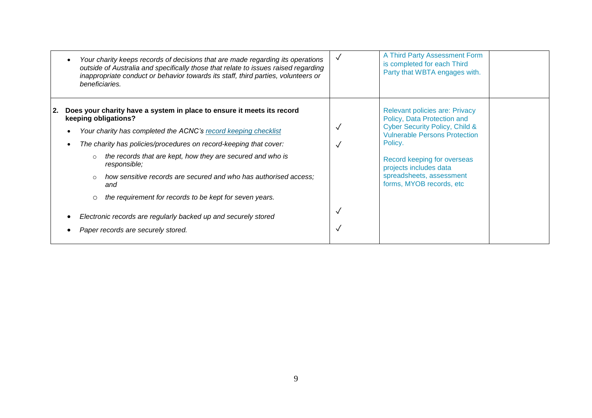|            | Your charity keeps records of decisions that are made regarding its operations<br>outside of Australia and specifically those that relate to issues raised regarding<br>inappropriate conduct or behavior towards its staff, third parties, volunteers or<br>beneficiaries.                                                                                                                                                                                                                                                                                                                  | $\checkmark$ | A Third Party Assessment Form<br>is completed for each Third<br>Party that WBTA engages with.                                                                                                                                                                                         |  |
|------------|----------------------------------------------------------------------------------------------------------------------------------------------------------------------------------------------------------------------------------------------------------------------------------------------------------------------------------------------------------------------------------------------------------------------------------------------------------------------------------------------------------------------------------------------------------------------------------------------|--------------|---------------------------------------------------------------------------------------------------------------------------------------------------------------------------------------------------------------------------------------------------------------------------------------|--|
| <u> 2.</u> | Does your charity have a system in place to ensure it meets its record<br>keeping obligations?<br>Your charity has completed the ACNC's record keeping checklist<br>The charity has policies/procedures on record-keeping that cover:<br>the records that are kept, how they are secured and who is<br>$\circ$<br>responsible;<br>how sensitive records are secured and who has authorised access;<br>$\circ$<br>and<br>the requirement for records to be kept for seven years.<br>O<br>Electronic records are regularly backed up and securely stored<br>Paper records are securely stored. |              | <b>Relevant policies are: Privacy</b><br>Policy, Data Protection and<br><b>Cyber Security Policy, Child &amp;</b><br><b>Vulnerable Persons Protection</b><br>Policy.<br>Record keeping for overseas<br>projects includes data<br>spreadsheets, assessment<br>forms, MYOB records, etc |  |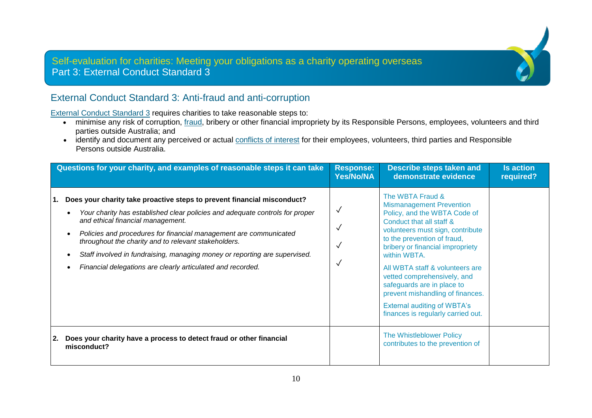## Self-evaluation for charities: Meeting your obligations as a charity operating overseas Part 3: External Conduct Standard 3

## External Conduct Standard 3: Anti-fraud and anti-corruption

[External Conduct Standard 3](https://www.acnc.gov.au/for-charities/manage-your-charity/governance-hub/acnc-external-conduct-standards/external-conduct-1) requires charities to take reasonable steps to:

- minimise any risk of corruption, [fraud,](https://www.acnc.gov.au/tools/topic-guides/fraud) bribery or other financial impropriety by its Responsible Persons, employees, volunteers and third parties outside Australia; and
- identify and document any perceived or actual [conflicts of interest](https://www.acnc.gov.au/tools/topic-guides/conflict-interest) for their employees, volunteers, third parties and Responsible Persons outside Australia.

|            | Questions for your charity, and examples of reasonable steps it can take                                                                                                                                                                                                                                                                                                                                                                                               | <b>Response:</b><br><b>Yes/No/NA</b> | <b>Describe steps taken and</b><br>demonstrate evidence                                                                                                                                                                                                                                                                                                                                                                                                | <b>Is action</b><br>required? |
|------------|------------------------------------------------------------------------------------------------------------------------------------------------------------------------------------------------------------------------------------------------------------------------------------------------------------------------------------------------------------------------------------------------------------------------------------------------------------------------|--------------------------------------|--------------------------------------------------------------------------------------------------------------------------------------------------------------------------------------------------------------------------------------------------------------------------------------------------------------------------------------------------------------------------------------------------------------------------------------------------------|-------------------------------|
| 1.         | Does your charity take proactive steps to prevent financial misconduct?<br>Your charity has established clear policies and adequate controls for proper<br>and ethical financial management.<br>Policies and procedures for financial management are communicated<br>throughout the charity and to relevant stakeholders.<br>Staff involved in fundraising, managing money or reporting are supervised.<br>Financial delegations are clearly articulated and recorded. | √<br>√                               | The WBTA Fraud &<br><b>Mismanagement Prevention</b><br>Policy, and the WBTA Code of<br>Conduct that all staff &<br>volunteers must sign, contribute<br>to the prevention of fraud,<br>bribery or financial impropriety<br>within WBTA.<br>All WBTA staff & volunteers are<br>vetted comprehensively, and<br>safeguards are in place to<br>prevent mishandling of finances.<br><b>External auditing of WBTA's</b><br>finances is regularly carried out. |                               |
| <u> 2.</u> | Does your charity have a process to detect fraud or other financial<br>misconduct?                                                                                                                                                                                                                                                                                                                                                                                     |                                      | The Whistleblower Policy<br>contributes to the prevention of                                                                                                                                                                                                                                                                                                                                                                                           |                               |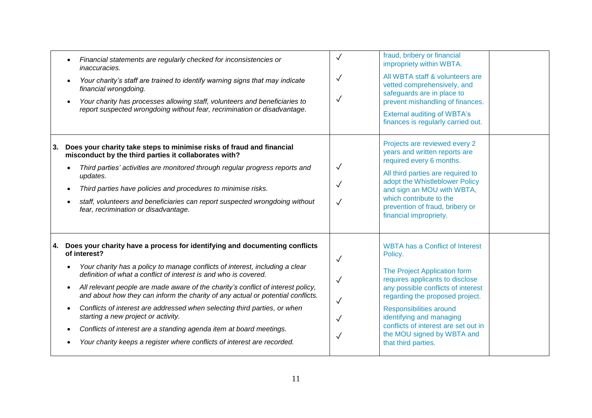|    | Financial statements are regularly checked for inconsistencies or<br>inaccuracies.<br>Your charity's staff are trained to identify warning signs that may indicate<br>financial wrongdoing.<br>Your charity has processes allowing staff, volunteers and beneficiaries to<br>report suspected wrongdoing without fear, recrimination or disadvantage.                                                                                                                                                                                                                                                                                                                                       | $\checkmark$<br>$\checkmark$<br>$\checkmark$                                 | fraud, bribery or financial<br>impropriety within WBTA.<br>All WBTA staff & volunteers are<br>vetted comprehensively, and<br>safeguards are in place to<br>prevent mishandling of finances.<br><b>External auditing of WBTA's</b><br>finances is regularly carried out.                                                                           |  |
|----|---------------------------------------------------------------------------------------------------------------------------------------------------------------------------------------------------------------------------------------------------------------------------------------------------------------------------------------------------------------------------------------------------------------------------------------------------------------------------------------------------------------------------------------------------------------------------------------------------------------------------------------------------------------------------------------------|------------------------------------------------------------------------------|---------------------------------------------------------------------------------------------------------------------------------------------------------------------------------------------------------------------------------------------------------------------------------------------------------------------------------------------------|--|
| 3. | Does your charity take steps to minimise risks of fraud and financial<br>misconduct by the third parties it collaborates with?<br>Third parties' activities are monitored through regular progress reports and<br>updates.<br>Third parties have policies and procedures to minimise risks.<br>staff, volunteers and beneficiaries can report suspected wrongdoing without<br>fear, recrimination or disadvantage.                                                                                                                                                                                                                                                                          | $\checkmark$<br>$\checkmark$<br>$\sqrt{}$                                    | Projects are reviewed every 2<br>years and written reports are<br>required every 6 months.<br>All third parties are required to<br>adopt the Whistleblower Policy<br>and sign an MOU with WBTA,<br>which contribute to the<br>prevention of fraud, bribery or<br>financial impropriety.                                                           |  |
| 4. | Does your charity have a process for identifying and documenting conflicts<br>of interest?<br>Your charity has a policy to manage conflicts of interest, including a clear<br>definition of what a conflict of interest is and who is covered.<br>All relevant people are made aware of the charity's conflict of interest policy,<br>and about how they can inform the charity of any actual or potential conflicts.<br>Conflicts of interest are addressed when selecting third parties, or when<br>starting a new project or activity.<br>Conflicts of interest are a standing agenda item at board meetings.<br>Your charity keeps a register where conflicts of interest are recorded. | $\checkmark$<br>$\checkmark$<br>$\checkmark$<br>$\checkmark$<br>$\checkmark$ | <b>WBTA has a Conflict of Interest</b><br>Policy.<br>The Project Application form<br>requires applicants to disclose<br>any possible conflicts of interest<br>regarding the proposed project.<br>Responsibilities around<br>identifying and managing<br>conflicts of interest are set out in<br>the MOU signed by WBTA and<br>that third parties. |  |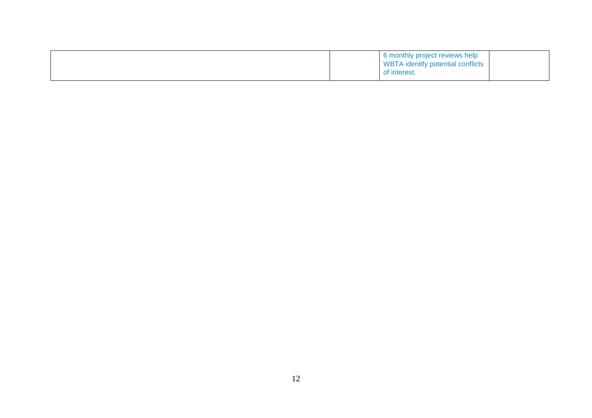|  |  | 6 monthly project reviews help<br><b>WBTA</b> identify potential conflicts<br>of interest. |  |
|--|--|--------------------------------------------------------------------------------------------|--|
|--|--|--------------------------------------------------------------------------------------------|--|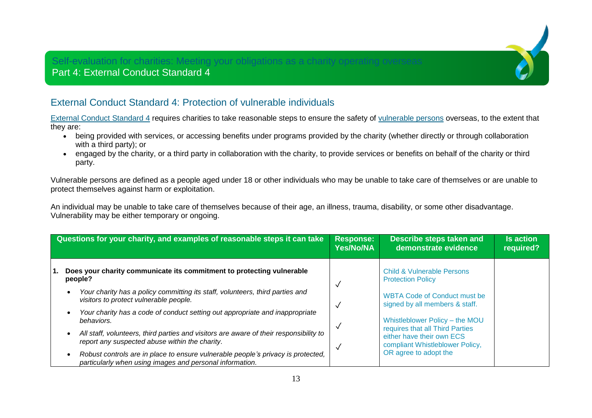## Self-evaluation for charities: Meeting your obligations as a charity operating overseas Part 4: External Conduct Standard 4



[External Conduct Standard 4](https://www.acnc.gov.au/for-charities/manage-your-charity/governance-hub/acnc-external-conduct-standards/external-conduct-2) requires charities to take reasonable steps to ensure the safety of [vulnerable persons](https://www.acnc.gov.au/tools/topic-guides/vulnerable-persons-or-people) overseas, to the extent that they are:

- being provided with services, or accessing benefits under programs provided by the charity (whether directly or through collaboration with a third party); or
- engaged by the charity, or a third party in collaboration with the charity, to provide services or benefits on behalf of the charity or third party.

Vulnerable persons are defined as a people aged under 18 or other individuals who may be unable to take care of themselves or are unable to protect themselves against harm or exploitation.

An individual may be unable to take care of themselves because of their age, an illness, trauma, disability, or some other disadvantage. Vulnerability may be either temporary or ongoing.

| Questions for your charity, and examples of reasonable steps it can take                                                                     |  | Describe steps taken and<br>demonstrate evidence                      | <b>Is action</b><br>required? |
|----------------------------------------------------------------------------------------------------------------------------------------------|--|-----------------------------------------------------------------------|-------------------------------|
| Does your charity communicate its commitment to protecting vulnerable<br>people?                                                             |  | <b>Child &amp; Vulnerable Persons</b><br><b>Protection Policy</b>     |                               |
| Your charity has a policy committing its staff, volunteers, third parties and<br>visitors to protect vulnerable people.                      |  | <b>WBTA Code of Conduct must be</b><br>signed by all members & staff. |                               |
| Your charity has a code of conduct setting out appropriate and inappropriate<br>behaviors.                                                   |  | Whistleblower Policy - the MOU<br>requires that all Third Parties     |                               |
| All staff, volunteers, third parties and visitors are aware of their responsibility to<br>report any suspected abuse within the charity.     |  | either have their own ECS<br>compliant Whistleblower Policy,          |                               |
| Robust controls are in place to ensure vulnerable people's privacy is protected,<br>particularly when using images and personal information. |  | OR agree to adopt the                                                 |                               |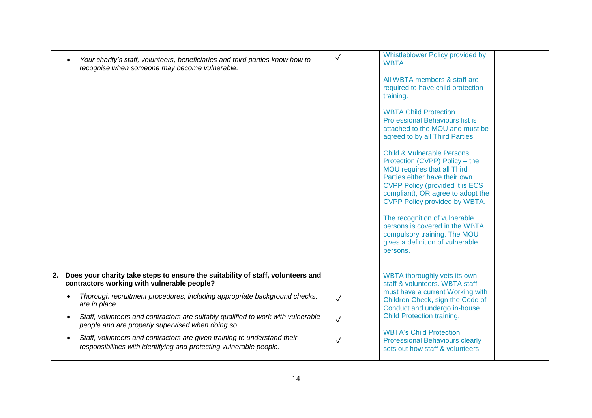| Your charity's staff, volunteers, beneficiaries and third parties know how to<br>recognise when someone may become vulnerable.                                                                                                                                                                                                                                                                                                                                                                                                 | $\checkmark$                              | Whistleblower Policy provided by<br>WBTA.<br>All WBTA members & staff are<br>required to have child protection<br>training.<br><b>WBTA Child Protection</b><br><b>Professional Behaviours list is</b><br>attached to the MOU and must be<br>agreed to by all Third Parties.<br><b>Child &amp; Vulnerable Persons</b><br>Protection (CVPP) Policy - the<br>MOU requires that all Third<br>Parties either have their own<br><b>CVPP Policy (provided it is ECS)</b><br>compliant), OR agree to adopt the<br>CVPP Policy provided by WBTA.<br>The recognition of vulnerable<br>persons is covered in the WBTA<br>compulsory training. The MOU<br>gives a definition of vulnerable<br>persons. |
|--------------------------------------------------------------------------------------------------------------------------------------------------------------------------------------------------------------------------------------------------------------------------------------------------------------------------------------------------------------------------------------------------------------------------------------------------------------------------------------------------------------------------------|-------------------------------------------|--------------------------------------------------------------------------------------------------------------------------------------------------------------------------------------------------------------------------------------------------------------------------------------------------------------------------------------------------------------------------------------------------------------------------------------------------------------------------------------------------------------------------------------------------------------------------------------------------------------------------------------------------------------------------------------------|
| Does your charity take steps to ensure the suitability of staff, volunteers and<br>2.<br>contractors working with vulnerable people?<br>Thorough recruitment procedures, including appropriate background checks,<br>are in place.<br>Staff, volunteers and contractors are suitably qualified to work with vulnerable<br>people and are properly supervised when doing so.<br>Staff, volunteers and contractors are given training to understand their<br>responsibilities with identifying and protecting vulnerable people. | $\checkmark$<br>$\sqrt{}$<br>$\checkmark$ | WBTA thoroughly vets its own<br>staff & volunteers. WBTA staff<br>must have a current Working with<br>Children Check, sign the Code of<br>Conduct and undergo in-house<br>Child Protection training.<br><b>WBTA's Child Protection</b><br><b>Professional Behaviours clearly</b><br>sets out how staff & volunteers                                                                                                                                                                                                                                                                                                                                                                        |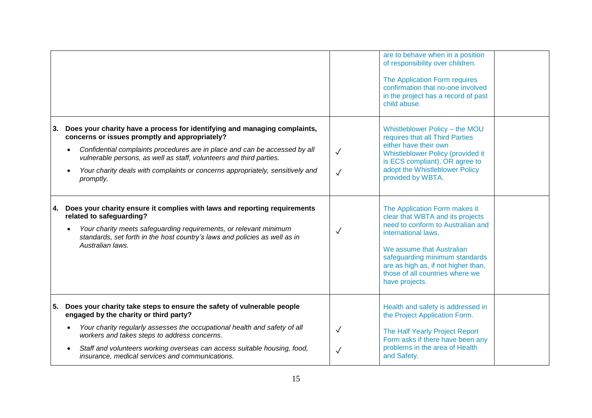|    |                                                                                                                                                                                                                                                                                                                                                                                |                              | are to behave when in a position<br>of responsibility over children.<br>The Application Form requires<br>confirmation that no-one involved<br>in the project has a record of past<br>child abuse.                                                                                        |  |
|----|--------------------------------------------------------------------------------------------------------------------------------------------------------------------------------------------------------------------------------------------------------------------------------------------------------------------------------------------------------------------------------|------------------------------|------------------------------------------------------------------------------------------------------------------------------------------------------------------------------------------------------------------------------------------------------------------------------------------|--|
| 3. | Does your charity have a process for identifying and managing complaints,<br>concerns or issues promptly and appropriately?<br>Confidential complaints procedures are in place and can be accessed by all<br>vulnerable persons, as well as staff, volunteers and third parties.<br>Your charity deals with complaints or concerns appropriately, sensitively and<br>promptly. | $\checkmark$<br>$\sqrt{}$    | Whistleblower Policy - the MOU<br>requires that all Third Parties<br>either have their own<br>Whistleblower Policy (provided it<br>is ECS compliant), OR agree to<br>adopt the Whistleblower Policy<br>provided by WBTA.                                                                 |  |
| 4. | Does your charity ensure it complies with laws and reporting requirements<br>related to safeguarding?<br>Your charity meets safeguarding requirements, or relevant minimum<br>standards, set forth in the host country's laws and policies as well as in<br>Australian laws.                                                                                                   | $\checkmark$                 | The Application Form makes it<br>clear that WBTA and its projects<br>need to conform to Australian and<br>international laws.<br>We assume that Australian<br>safeguarding minimum standards<br>are as high as, if not higher than,<br>those of all countries where we<br>have projects. |  |
| 5. | Does your charity take steps to ensure the safety of vulnerable people<br>engaged by the charity or third party?<br>Your charity regularly assesses the occupational health and safety of all<br>workers and takes steps to address concerns.<br>Staff and volunteers working overseas can access suitable housing, food,<br>insurance, medical services and communications.   | $\checkmark$<br>$\checkmark$ | Health and safety is addressed in<br>the Project Application Form.<br>The Half Yearly Project Report<br>Form asks if there have been any<br>problems in the area of Health<br>and Safety.                                                                                                |  |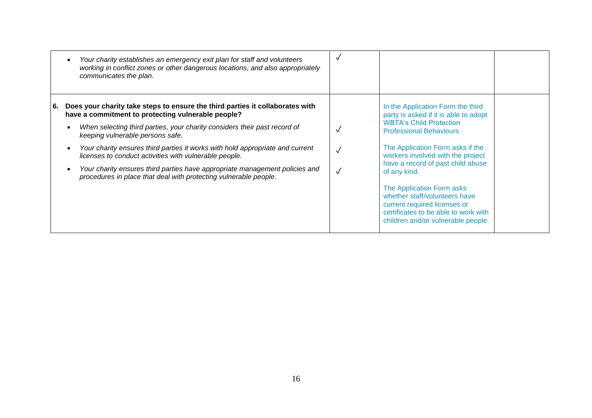|      | Your charity establishes an emergency exit plan for staff and volunteers<br>working in conflict zones or other dangerous locations, and also appropriately<br>communicates the plan.                                                                                                                                                                                                                                                                                                                                                               |                                                                                                                                                                                                                                                                                                            |
|------|----------------------------------------------------------------------------------------------------------------------------------------------------------------------------------------------------------------------------------------------------------------------------------------------------------------------------------------------------------------------------------------------------------------------------------------------------------------------------------------------------------------------------------------------------|------------------------------------------------------------------------------------------------------------------------------------------------------------------------------------------------------------------------------------------------------------------------------------------------------------|
| l 6. | Does your charity take steps to ensure the third parties it collaborates with<br>have a commitment to protecting vulnerable people?<br>When selecting third parties, your charity considers their past record of<br>keeping vulnerable persons safe.<br>Your charity ensures third parties it works with hold appropriate and current<br>licenses to conduct activities with vulnerable people.<br>Your charity ensures third parties have appropriate management policies and<br>procedures in place that deal with protecting vulnerable people. | In the Application Form the third<br>party is asked if it is able to adopt<br><b>WBTA's Child Protection</b><br><b>Professional Behaviours.</b><br>The Application Form asks if the<br>workers involved with the project<br>have a record of past child abuse<br>of any kind.<br>The Application Form asks |
|      |                                                                                                                                                                                                                                                                                                                                                                                                                                                                                                                                                    | whether staff/volunteers have<br>current required licenses or<br>certificates to be able to work with<br>children and/or vulnerable people.                                                                                                                                                                |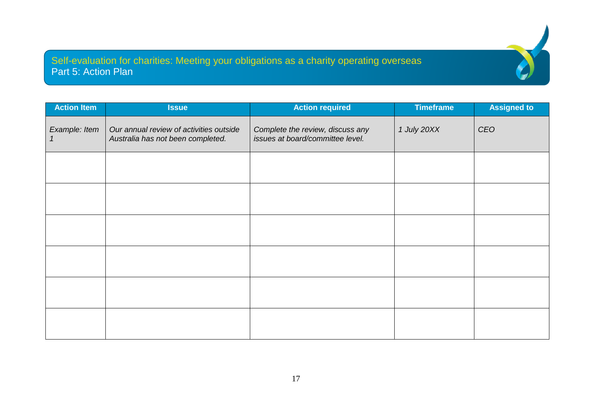Self-evaluation for charities: Meeting your obligations as a charity operating overseas Part 5: Action Plan

| <b>Action Item</b> | <b>Issue</b>                                                                 | <b>Action required</b>                                               | <b>Timeframe</b> | <b>Assigned to</b> |
|--------------------|------------------------------------------------------------------------------|----------------------------------------------------------------------|------------------|--------------------|
| Example: Item      | Our annual review of activities outside<br>Australia has not been completed. | Complete the review, discuss any<br>issues at board/committee level. | 1 July 20XX      | CEO                |
|                    |                                                                              |                                                                      |                  |                    |
|                    |                                                                              |                                                                      |                  |                    |
|                    |                                                                              |                                                                      |                  |                    |
|                    |                                                                              |                                                                      |                  |                    |
|                    |                                                                              |                                                                      |                  |                    |
|                    |                                                                              |                                                                      |                  |                    |